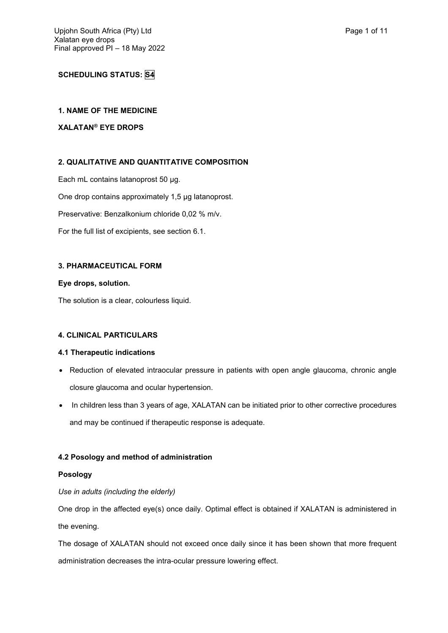# **SCHEDULING STATUS: S4**

## **1. NAME OF THE MEDICINE**

## **XALATAN® EYE DROPS**

# **2. QUALITATIVE AND QUANTITATIVE COMPOSITION**

Each mL contains latanoprost 50 µg. One drop contains approximately 1,5 µg latanoprost. Preservative: Benzalkonium chloride 0,02 % m/v. For the full list of excipients, see section 6.1.

## **3. PHARMACEUTICAL FORM**

## **Eye drops, solution.**

The solution is a clear, colourless liquid.

## **4. CLINICAL PARTICULARS**

## **4.1 Therapeutic indications**

- Reduction of elevated intraocular pressure in patients with open angle glaucoma, chronic angle closure glaucoma and ocular hypertension.
- In children less than 3 years of age, XALATAN can be initiated prior to other corrective procedures and may be continued if therapeutic response is adequate.

## **4.2 Posology and method of administration**

## **Posology**

## *Use in adults (including the elderly)*

One drop in the affected eye(s) once daily. Optimal effect is obtained if XALATAN is administered in the evening.

The dosage of XALATAN should not exceed once daily since it has been shown that more frequent administration decreases the intra-ocular pressure lowering effect.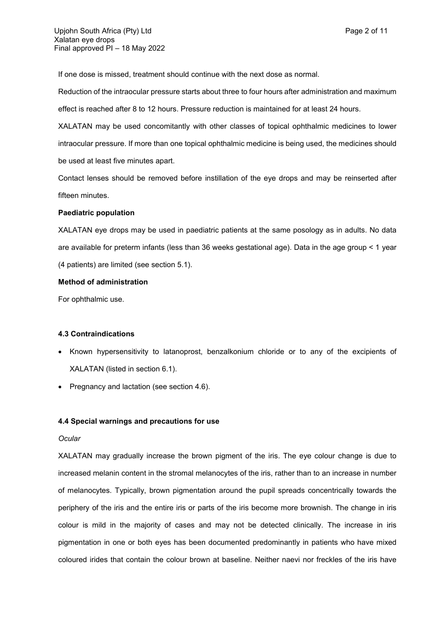If one dose is missed, treatment should continue with the next dose as normal.

Reduction of the intraocular pressure starts about three to four hours after administration and maximum effect is reached after 8 to 12 hours. Pressure reduction is maintained for at least 24 hours.

XALATAN may be used concomitantly with other classes of topical ophthalmic medicines to lower intraocular pressure. If more than one topical ophthalmic medicine is being used, the medicines should be used at least five minutes apart.

Contact lenses should be removed before instillation of the eye drops and may be reinserted after fifteen minutes.

#### **Paediatric population**

XALATAN eye drops may be used in paediatric patients at the same posology as in adults. No data are available for preterm infants (less than 36 weeks gestational age). Data in the age group < 1 year (4 patients) are limited (see section 5.1).

#### **Method of administration**

For ophthalmic use.

### **4.3 Contraindications**

- Known hypersensitivity to latanoprost, benzalkonium chloride or to any of the excipients of XALATAN (listed in section 6.1).
- Pregnancy and lactation (see section 4.6).

#### **4.4 Special warnings and precautions for use**

#### *Ocular*

XALATAN may gradually increase the brown pigment of the iris. The eye colour change is due to increased melanin content in the stromal melanocytes of the iris, rather than to an increase in number of melanocytes. Typically, brown pigmentation around the pupil spreads concentrically towards the periphery of the iris and the entire iris or parts of the iris become more brownish. The change in iris colour is mild in the majority of cases and may not be detected clinically. The increase in iris pigmentation in one or both eyes has been documented predominantly in patients who have mixed coloured irides that contain the colour brown at baseline. Neither naevi nor freckles of the iris have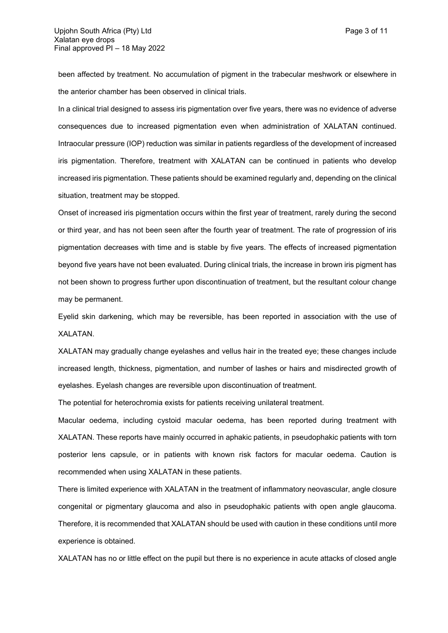been affected by treatment. No accumulation of pigment in the trabecular meshwork or elsewhere in the anterior chamber has been observed in clinical trials.

In a clinical trial designed to assess iris pigmentation over five years, there was no evidence of adverse consequences due to increased pigmentation even when administration of XALATAN continued. Intraocular pressure (IOP) reduction was similar in patients regardless of the development of increased iris pigmentation. Therefore, treatment with XALATAN can be continued in patients who develop increased iris pigmentation. These patients should be examined regularly and, depending on the clinical situation, treatment may be stopped.

Onset of increased iris pigmentation occurs within the first year of treatment, rarely during the second or third year, and has not been seen after the fourth year of treatment. The rate of progression of iris pigmentation decreases with time and is stable by five years. The effects of increased pigmentation beyond five years have not been evaluated. During clinical trials, the increase in brown iris pigment has not been shown to progress further upon discontinuation of treatment, but the resultant colour change may be permanent.

Eyelid skin darkening, which may be reversible, has been reported in association with the use of XALATAN.

XALATAN may gradually change eyelashes and vellus hair in the treated eye; these changes include increased length, thickness, pigmentation, and number of lashes or hairs and misdirected growth of eyelashes. Eyelash changes are reversible upon discontinuation of treatment.

The potential for heterochromia exists for patients receiving unilateral treatment.

Macular oedema, including cystoid macular oedema, has been reported during treatment with XALATAN. These reports have mainly occurred in aphakic patients, in pseudophakic patients with torn posterior lens capsule, or in patients with known risk factors for macular oedema. Caution is recommended when using XALATAN in these patients.

There is limited experience with XALATAN in the treatment of inflammatory neovascular, angle closure congenital or pigmentary glaucoma and also in pseudophakic patients with open angle glaucoma. Therefore, it is recommended that XALATAN should be used with caution in these conditions until more experience is obtained.

XALATAN has no or little effect on the pupil but there is no experience in acute attacks of closed angle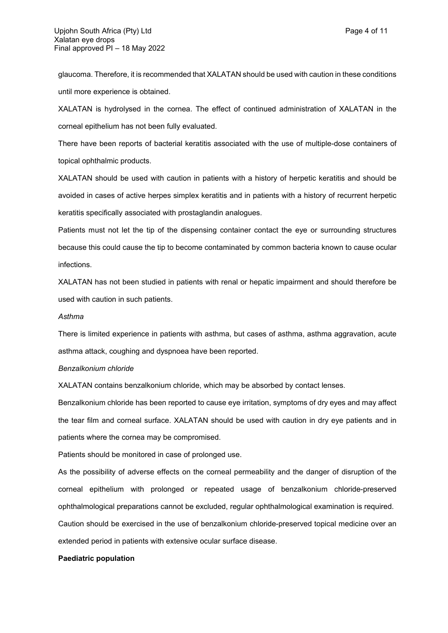glaucoma. Therefore, it is recommended that XALATAN should be used with caution in these conditions until more experience is obtained.

XALATAN is hydrolysed in the cornea. The effect of continued administration of XALATAN in the corneal epithelium has not been fully evaluated.

There have been reports of bacterial keratitis associated with the use of multiple-dose containers of topical ophthalmic products.

XALATAN should be used with caution in patients with a history of herpetic keratitis and should be avoided in cases of active herpes simplex keratitis and in patients with a history of recurrent herpetic keratitis specifically associated with prostaglandin analogues.

Patients must not let the tip of the dispensing container contact the eye or surrounding structures because this could cause the tip to become contaminated by common bacteria known to cause ocular infections.

XALATAN has not been studied in patients with renal or hepatic impairment and should therefore be used with caution in such patients.

#### *Asthma*

There is limited experience in patients with asthma, but cases of asthma, asthma aggravation, acute asthma attack, coughing and dyspnoea have been reported.

#### *Benzalkonium chloride*

XALATAN contains benzalkonium chloride, which may be absorbed by contact lenses.

Benzalkonium chloride has been reported to cause eye irritation, symptoms of dry eyes and may affect the tear film and corneal surface. XALATAN should be used with caution in dry eye patients and in patients where the cornea may be compromised.

Patients should be monitored in case of prolonged use.

As the possibility of adverse effects on the corneal permeability and the danger of disruption of the corneal epithelium with prolonged or repeated usage of benzalkonium chloride-preserved ophthalmological preparations cannot be excluded, regular ophthalmological examination is required.

Caution should be exercised in the use of benzalkonium chloride-preserved topical medicine over an extended period in patients with extensive ocular surface disease.

#### **Paediatric population**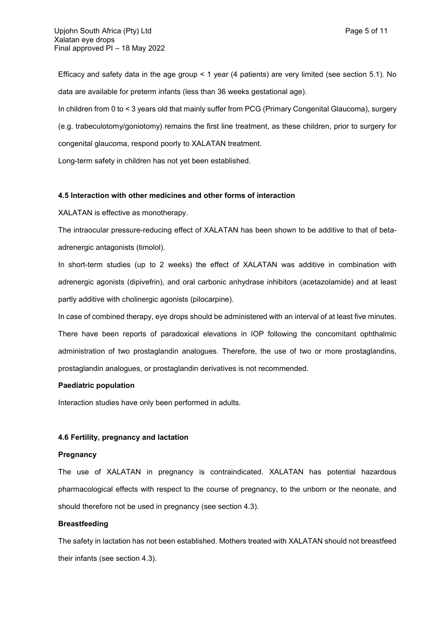Efficacy and safety data in the age group < 1 year (4 patients) are very limited (see section 5.1). No data are available for preterm infants (less than 36 weeks gestational age).

In children from 0 to < 3 years old that mainly suffer from PCG (Primary Congenital Glaucoma), surgery (e.g. trabeculotomy/goniotomy) remains the first line treatment, as these children, prior to surgery for congenital glaucoma, respond poorly to XALATAN treatment.

Long-term safety in children has not yet been established.

## **4.5 Interaction with other medicines and other forms of interaction**

XALATAN is effective as monotherapy.

The intraocular pressure-reducing effect of XALATAN has been shown to be additive to that of betaadrenergic antagonists (timolol).

In short-term studies (up to 2 weeks) the effect of XALATAN was additive in combination with adrenergic agonists (dipivefrin), and oral carbonic anhydrase inhibitors (acetazolamide) and at least partly additive with cholinergic agonists (pilocarpine).

In case of combined therapy, eye drops should be administered with an interval of at least five minutes. There have been reports of paradoxical elevations in IOP following the concomitant ophthalmic administration of two prostaglandin analogues. Therefore, the use of two or more prostaglandins, prostaglandin analogues, or prostaglandin derivatives is not recommended.

#### **Paediatric population**

Interaction studies have only been performed in adults.

#### **4.6 Fertility, pregnancy and lactation**

#### **Pregnancy**

The use of XALATAN in pregnancy is contraindicated. XALATAN has potential hazardous pharmacological effects with respect to the course of pregnancy, to the unborn or the neonate, and should therefore not be used in pregnancy (see section 4.3).

#### **Breastfeeding**

The safety in lactation has not been established. Mothers treated with XALATAN should not breastfeed their infants (see section 4.3).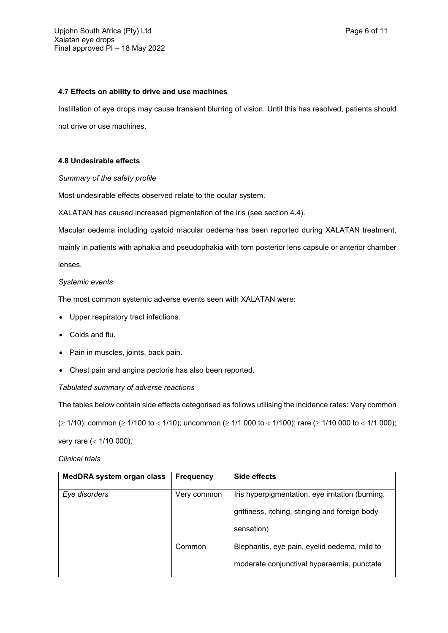### **4.7 Effects on ability to drive and use machines**

Instillation of eye drops may cause transient blurring of vision. Until this has resolved, patients should not drive or use machines.

## **4.8 Undesirable effects**

## *Summary of the safety profile*

Most undesirable effects observed relate to the ocular system.

XALATAN has caused increased pigmentation of the iris (see section 4.4).

Macular oedema including cystoid macular oedema has been reported during XALATAN treatment,

mainly in patients with aphakia and pseudophakia with torn posterior lens capsule or anterior chamber lenses.

## *Systemic events*

The most common systemic adverse events seen with XALATAN were:

- Upper respiratory tract infections.
- Colds and flu.
- Pain in muscles, joints, back pain.
- Chest pain and angina pectoris has also been reported.

## *Tabulated summary of adverse reactions*

The tables below contain side effects categorised as follows utilising the incidence rates: Very common

 $( \geq 1/10)$ ; common ( $\geq 1/100$  to < 1/10); uncommon ( $\geq 1/1$  000 to < 1/100); rare ( $\geq 1/10$  000 to < 1/1 000);

very rare  $(< 1/10 000)$ .

## *Clinical trials*

| MedDRA system organ class | <b>Frequency</b> | Side effects                                     |
|---------------------------|------------------|--------------------------------------------------|
| Eye disorders             | Very common      | Iris hyperpigmentation, eye irritation (burning, |
|                           |                  | grittiness, itching, stinging and foreign body   |
|                           |                  | sensation)                                       |
|                           | Common           | Blepharitis, eye pain, eyelid oedema, mild to    |
|                           |                  | moderate conjunctival hyperaemia, punctate       |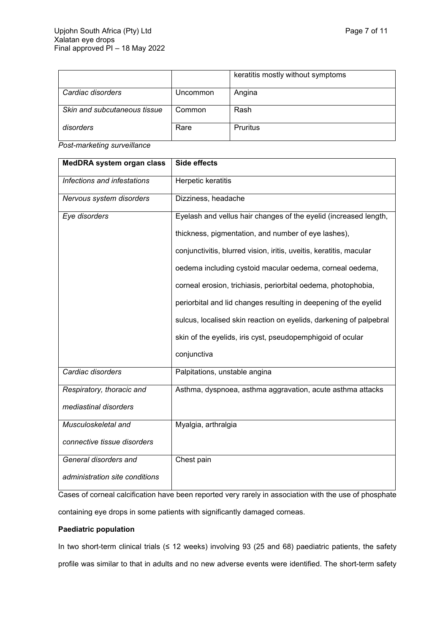|                              |          | keratitis mostly without symptoms |
|------------------------------|----------|-----------------------------------|
| Cardiac disorders            | Uncommon | Angina                            |
| Skin and subcutaneous tissue | Common   | Rash                              |
| disorders                    | Rare     | Pruritus                          |

*Post-marketing surveillance*

| MedDRA system organ class      | <b>Side effects</b>                                                 |
|--------------------------------|---------------------------------------------------------------------|
| Infections and infestations    | Herpetic keratitis                                                  |
| Nervous system disorders       | Dizziness, headache                                                 |
| Eye disorders                  | Eyelash and vellus hair changes of the eyelid (increased length,    |
|                                | thickness, pigmentation, and number of eye lashes),                 |
|                                | conjunctivitis, blurred vision, iritis, uveitis, keratitis, macular |
|                                | oedema including cystoid macular oedema, corneal oedema,            |
|                                | corneal erosion, trichiasis, periorbital oedema, photophobia,       |
|                                | periorbital and lid changes resulting in deepening of the eyelid    |
|                                | sulcus, localised skin reaction on eyelids, darkening of palpebral  |
|                                | skin of the eyelids, iris cyst, pseudopemphigoid of ocular          |
|                                | conjunctiva                                                         |
| Cardiac disorders              | Palpitations, unstable angina                                       |
| Respiratory, thoracic and      | Asthma, dyspnoea, asthma aggravation, acute asthma attacks          |
| mediastinal disorders          |                                                                     |
| Musculoskeletal and            | Myalgia, arthralgia                                                 |
| connective tissue disorders    |                                                                     |
| General disorders and          | Chest pain                                                          |
| administration site conditions |                                                                     |

Cases of corneal calcification have been reported very rarely in association with the use of phosphate containing eye drops in some patients with significantly damaged corneas.

## **Paediatric population**

In two short-term clinical trials (≤ 12 weeks) involving 93 (25 and 68) paediatric patients, the safety profile was similar to that in adults and no new adverse events were identified. The short-term safety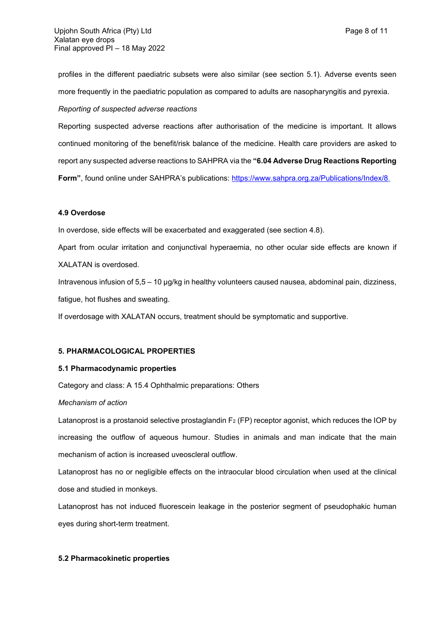profiles in the different paediatric subsets were also similar (see section 5.1). Adverse events seen more frequently in the paediatric population as compared to adults are nasopharyngitis and pyrexia.

### *Reporting of suspected adverse reactions*

Reporting suspected adverse reactions after authorisation of the medicine is important. It allows continued monitoring of the benefit/risk balance of the medicine. Health care providers are asked to report any suspected adverse reactions to SAHPRA via the **"6.04 Adverse Drug Reactions Reporting**  Form", found online under SAHPRA's publications: [https://www.sahpra.org.za/Publications/Index/8.](https://www.sahpra.org.za/Publications/Index/8)

### **4.9 Overdose**

In overdose, side effects will be exacerbated and exaggerated (see section 4.8).

Apart from ocular irritation and conjunctival hyperaemia, no other ocular side effects are known if XALATAN is overdosed.

Intravenous infusion of 5,5 – 10 µg/kg in healthy volunteers caused nausea, abdominal pain, dizziness, fatigue, hot flushes and sweating.

If overdosage with XALATAN occurs, treatment should be symptomatic and supportive.

### **5. PHARMACOLOGICAL PROPERTIES**

### **5.1 Pharmacodynamic properties**

Category and class: A 15.4 Ophthalmic preparations: Others

#### *Mechanism of action*

Latanoprost is a prostanoid selective prostaglandin  $F_2$  (FP) receptor agonist, which reduces the IOP by increasing the outflow of aqueous humour. Studies in animals and man indicate that the main mechanism of action is increased uveoscleral outflow.

Latanoprost has no or negligible effects on the intraocular blood circulation when used at the clinical dose and studied in monkeys.

Latanoprost has not induced fluorescein leakage in the posterior segment of pseudophakic human eyes during short-term treatment.

#### **5.2 Pharmacokinetic properties**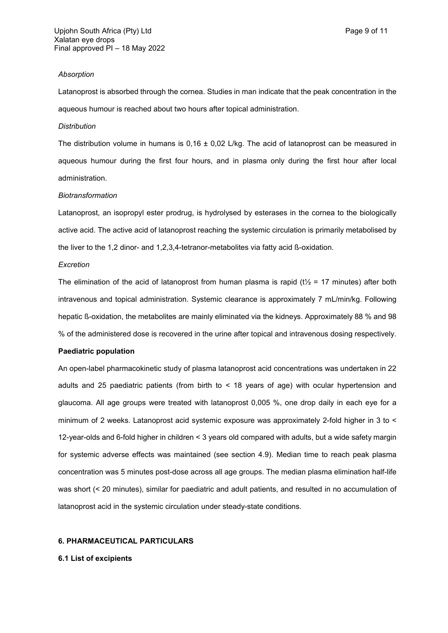#### *Absorption*

Latanoprost is absorbed through the cornea. Studies in man indicate that the peak concentration in the aqueous humour is reached about two hours after topical administration.

#### *Distribution*

The distribution volume in humans is  $0.16 \pm 0.02$  L/kg. The acid of latanoprost can be measured in aqueous humour during the first four hours, and in plasma only during the first hour after local administration.

#### *Biotransformation*

Latanoprost, an isopropyl ester prodrug, is hydrolysed by esterases in the cornea to the biologically active acid. The active acid of latanoprost reaching the systemic circulation is primarily metabolised by the liver to the 1,2 dinor- and 1,2,3,4-tetranor-metabolites via fatty acid ß-oxidation.

#### *Excretion*

The elimination of the acid of latanoprost from human plasma is rapid ( $t\frac{1}{2}$  = 17 minutes) after both intravenous and topical administration. Systemic clearance is approximately 7 mL/min/kg. Following hepatic ß-oxidation, the metabolites are mainly eliminated via the kidneys. Approximately 88 % and 98 % of the administered dose is recovered in the urine after topical and intravenous dosing respectively.

### **Paediatric population**

An open-label pharmacokinetic study of plasma latanoprost acid concentrations was undertaken in 22 adults and 25 paediatric patients (from birth to < 18 years of age) with ocular hypertension and glaucoma. All age groups were treated with latanoprost 0,005 %, one drop daily in each eye for a minimum of 2 weeks. Latanoprost acid systemic exposure was approximately 2-fold higher in 3 to < 12-year-olds and 6-fold higher in children < 3 years old compared with adults, but a wide safety margin for systemic adverse effects was maintained (see section 4.9). Median time to reach peak plasma concentration was 5 minutes post-dose across all age groups. The median plasma elimination half-life was short (< 20 minutes), similar for paediatric and adult patients, and resulted in no accumulation of latanoprost acid in the systemic circulation under steady-state conditions.

## **6. PHARMACEUTICAL PARTICULARS**

#### **6.1 List of excipients**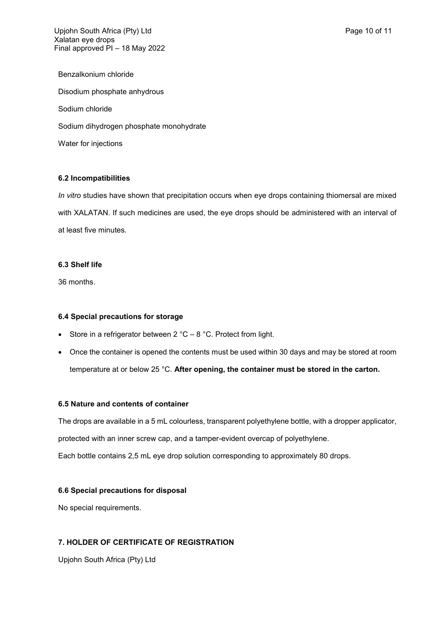Upjohn South Africa (Pty) Ltd **Page 10 of 11** Page 10 of 11 Xalatan eye drops Final approved PI – 18 May 2022

Benzalkonium chloride Disodium phosphate anhydrous Sodium chloride Sodium dihydrogen phosphate monohydrate Water for injections

### **6.2 Incompatibilities**

*In vitro* studies have shown that precipitation occurs when eye drops containing thiomersal are mixed with XALATAN. If such medicines are used, the eye drops should be administered with an interval of at least five minutes.

### **6.3 Shelf life**

36 months.

### **6.4 Special precautions for storage**

- Store in a refrigerator between  $2 °C 8 °C$ . Protect from light.
- Once the container is opened the contents must be used within 30 days and may be stored at room temperature at or below 25 °C. **After opening, the container must be stored in the carton.**

#### **6.5 Nature and contents of container**

The drops are available in a 5 mL colourless, transparent polyethylene bottle, with a dropper applicator, protected with an inner screw cap, and a tamper-evident overcap of polyethylene. Each bottle contains 2,5 mL eye drop solution corresponding to approximately 80 drops.

## **6.6 Special precautions for disposal**

No special requirements.

## **7. HOLDER OF CERTIFICATE OF REGISTRATION**

Upjohn South Africa (Pty) Ltd